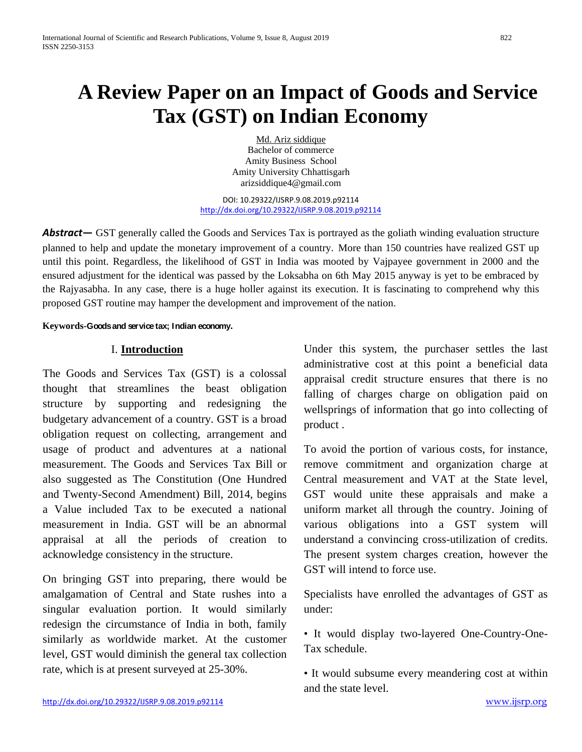# **A Review Paper on an Impact of Goods and Service Tax (GST) on Indian Economy**

Md. Ariz siddique Bachelor of commerce Amity Business School Amity University Chhattisgarh arizsiddique4@gmail.com

DOI: 10.29322/IJSRP.9.08.2019.p92114 <http://dx.doi.org/10.29322/IJSRP.9.08.2019.p92114>

*Abstract***—** GST generally called the Goods and Services Tax is portrayed as the goliath winding evaluation structure planned to help and update the monetary improvement of a country. More than 150 countries have realized GST up until this point. Regardless, the likelihood of GST in India was mooted by Vajpayee government in 2000 and the ensured adjustment for the identical was passed by the Loksabha on 6th May 2015 anyway is yet to be embraced by the Rajyasabha. In any case, there is a huge holler against its execution. It is fascinating to comprehend why this proposed GST routine may hamper the development and improvement of the nation.

#### **Keywords-Goods and service tax; Indian economy.**

### I. **Introduction**

The Goods and Services Tax (GST) is a colossal thought that streamlines the beast obligation structure by supporting and redesigning the budgetary advancement of a country. GST is a broad obligation request on collecting, arrangement and usage of product and adventures at a national measurement. The Goods and Services Tax Bill or also suggested as The Constitution (One Hundred and Twenty-Second Amendment) Bill, 2014, begins a Value included Tax to be executed a national measurement in India. GST will be an abnormal appraisal at all the periods of creation to acknowledge consistency in the structure.

On bringing GST into preparing, there would be amalgamation of Central and State rushes into a singular evaluation portion. It would similarly redesign the circumstance of India in both, family similarly as worldwide market. At the customer level, GST would diminish the general tax collection rate, which is at present surveyed at 25-30%.

Under this system, the purchaser settles the last administrative cost at this point a beneficial data appraisal credit structure ensures that there is no falling of charges charge on obligation paid on wellsprings of information that go into collecting of product .

To avoid the portion of various costs, for instance, remove commitment and organization charge at Central measurement and VAT at the State level, GST would unite these appraisals and make a uniform market all through the country. Joining of various obligations into a GST system will understand a convincing cross-utilization of credits. The present system charges creation, however the GST will intend to force use.

Specialists have enrolled the advantages of GST as under:

• It would display two-layered One-Country-One-Tax schedule.

• It would subsume every meandering cost at within and the state level.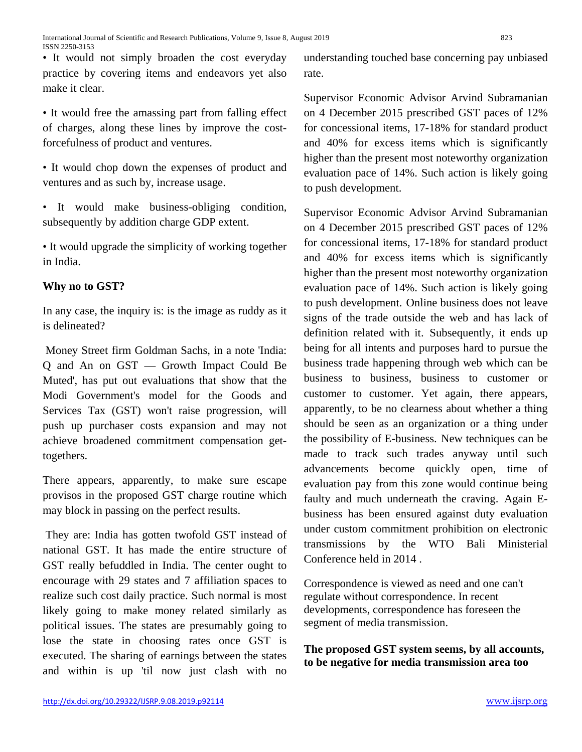• It would not simply broaden the cost everyday practice by covering items and endeavors yet also make it clear.

• It would free the amassing part from falling effect of charges, along these lines by improve the costforcefulness of product and ventures.

• It would chop down the expenses of product and ventures and as such by, increase usage.

• It would make business-obliging condition, subsequently by addition charge GDP extent.

• It would upgrade the simplicity of working together in India.

## **Why no to GST?**

In any case, the inquiry is: is the image as ruddy as it is delineated?

Money Street firm Goldman Sachs, in a note 'India: Q and An on GST — Growth Impact Could Be Muted', has put out evaluations that show that the Modi Government's model for the Goods and Services Tax (GST) won't raise progression, will push up purchaser costs expansion and may not achieve broadened commitment compensation gettogethers.

There appears, apparently, to make sure escape provisos in the proposed GST charge routine which may block in passing on the perfect results.

They are: India has gotten twofold GST instead of national GST. It has made the entire structure of GST really befuddled in India. The center ought to encourage with 29 states and 7 affiliation spaces to realize such cost daily practice. Such normal is most likely going to make money related similarly as political issues. The states are presumably going to lose the state in choosing rates once GST is executed. The sharing of earnings between the states and within is up 'til now just clash with no understanding touched base concerning pay unbiased rate.

Supervisor Economic Advisor Arvind Subramanian on 4 December 2015 prescribed GST paces of 12% for concessional items, 17-18% for standard product and 40% for excess items which is significantly higher than the present most noteworthy organization evaluation pace of 14%. Such action is likely going to push development.

Supervisor Economic Advisor Arvind Subramanian on 4 December 2015 prescribed GST paces of 12% for concessional items, 17-18% for standard product and 40% for excess items which is significantly higher than the present most noteworthy organization evaluation pace of 14%. Such action is likely going to push development. Online business does not leave signs of the trade outside the web and has lack of definition related with it. Subsequently, it ends up being for all intents and purposes hard to pursue the business trade happening through web which can be business to business, business to customer or customer to customer. Yet again, there appears, apparently, to be no clearness about whether a thing should be seen as an organization or a thing under the possibility of E-business. New techniques can be made to track such trades anyway until such advancements become quickly open, time of evaluation pay from this zone would continue being faulty and much underneath the craving. Again Ebusiness has been ensured against duty evaluation under custom commitment prohibition on electronic transmissions by the WTO Bali Ministerial Conference held in 2014 .

Correspondence is viewed as need and one can't regulate without correspondence. In recent developments, correspondence has foreseen the segment of media transmission.

**The proposed GST system seems, by all accounts, to be negative for media transmission area too**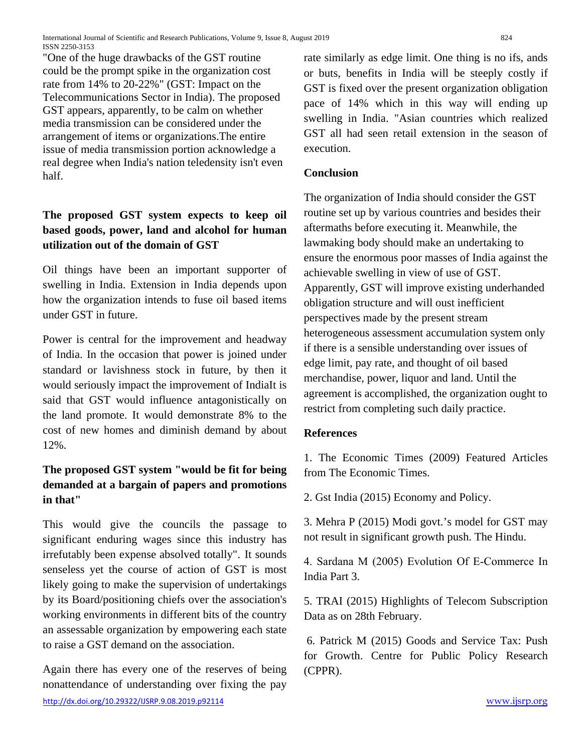International Journal of Scientific and Research Publications, Volume 9, Issue 8, August 2019 824 ISSN 2250-3153

"One of the huge drawbacks of the GST routine could be the prompt spike in the organization cost rate from 14% to 20-22%" (GST: Impact on the Telecommunications Sector in India). The proposed GST appears, apparently, to be calm on whether media transmission can be considered under the arrangement of items or organizations.The entire issue of media transmission portion acknowledge a real degree when India's nation teledensity isn't even half.

## **The proposed GST system expects to keep oil based goods, power, land and alcohol for human utilization out of the domain of GST**

Oil things have been an important supporter of swelling in India. Extension in India depends upon how the organization intends to fuse oil based items under GST in future.

Power is central for the improvement and headway of India. In the occasion that power is joined under standard or lavishness stock in future, by then it would seriously impact the improvement of IndiaIt is said that GST would influence antagonistically on the land promote. It would demonstrate 8% to the cost of new homes and diminish demand by about 12%.

## **The proposed GST system "would be fit for being demanded at a bargain of papers and promotions in that"**

This would give the councils the passage to significant enduring wages since this industry has irrefutably been expense absolved totally". It sounds senseless yet the course of action of GST is most likely going to make the supervision of undertakings by its Board/positioning chiefs over the association's working environments in different bits of the country an assessable organization by empowering each state to raise a GST demand on the association.

Again there has every one of the reserves of being nonattendance of understanding over fixing the pay rate similarly as edge limit. One thing is no ifs, ands or buts, benefits in India will be steeply costly if GST is fixed over the present organization obligation pace of 14% which in this way will ending up swelling in India. "Asian countries which realized GST all had seen retail extension in the season of execution.

### **Conclusion**

The organization of India should consider the GST routine set up by various countries and besides their aftermaths before executing it. Meanwhile, the lawmaking body should make an undertaking to ensure the enormous poor masses of India against the achievable swelling in view of use of GST. Apparently, GST will improve existing underhanded obligation structure and will oust inefficient perspectives made by the present stream heterogeneous assessment accumulation system only if there is a sensible understanding over issues of edge limit, pay rate, and thought of oil based merchandise, power, liquor and land. Until the agreement is accomplished, the organization ought to restrict from completing such daily practice.

#### **References**

1. The Economic Times (2009) Featured Articles from The Economic Times.

2. Gst India (2015) Economy and Policy.

3. Mehra P (2015) Modi govt.'s model for GST may not result in significant growth push. The Hindu.

4. Sardana M (2005) Evolution Of E‐Commerce In India Part 3.

5. TRAI (2015) Highlights of Telecom Subscription Data as on 28th February.

6. Patrick M (2015) Goods and Service Tax: Push for Growth. Centre for Public Policy Research (CPPR).